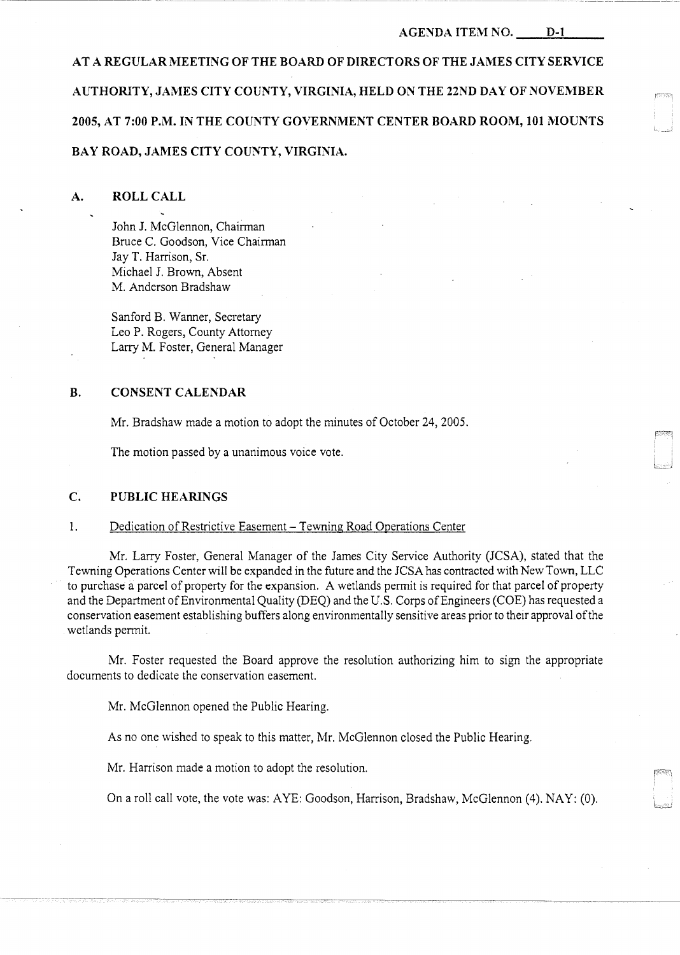#### **AGENDA ITEM** NO. **D-1**

**AT A REGULAR MEETING OF THE BOARD OF DIRECTORS OF THE JAMES CITY SERVICE AUTHORITY, JAMES CITY COUNTY, VIRGINIA, HELD ON THE 22ND DAY OF NOVEMBER**  2005, AT 7:00 P.M. IN THE COUNTY GOVERNMENT CENTER BOARD ROOM, 101 MOUNTS **BAY ROAD, JAMES CITY COUNTY, VIRGINIA.** 

#### **A. ROLL CALL**

John **J.** McGlennon, Chairman Bruce C. Goodson, Vice Chairman Jay T. Harrison, Sr. Michael J. Brown, Absent M. Anderson Bradshaw

Sanford B. Wanner, Secretary Leo P. Rogers, County Attorney Larry M. Foster, General Manager

#### **B. CONSENT CALENDAR**

Mr. Bradshaw made a motion to adopt the minutes of October 24, 2005.

The motion passed by a unanimous voice vote.

# **C. PUBLIC HEARINGS**

#### 1. Dedication of Restrictive Easement - Tewning Road Operations Center

Mr. Larry Foster, General Manager of the James City Service Authority (JCSA), stated that the Tewning Operations Center will be expanded in the future and the JCSA has contracted with New Town, LLC to purchase a parcel of property for the expansion. A wetlands permit is required for that parcel of property and the Department of Environmental Quality (DEQ) and the U.S. Corps of Engineers (COE) has requested a conservation easement establishing buffers along environmentally sensitive areas prior to their approval of the wetlands permit.

Mr. Foster requested the Board approve the resolution authorizing him to sign the appropriate documents to dedicate the conservation easement.

Mr. McGlennon opened the Public Hearing.

As no one wished to speak to this matter, Mr. McGlennon closed the Public Hearing.

Mr. Harrison made a motion to adopt the resolution.

On a roll call vote, the vote was: AYE: Goodson, Harrison, Bradshaw, McGlennon (4). NAY: (0).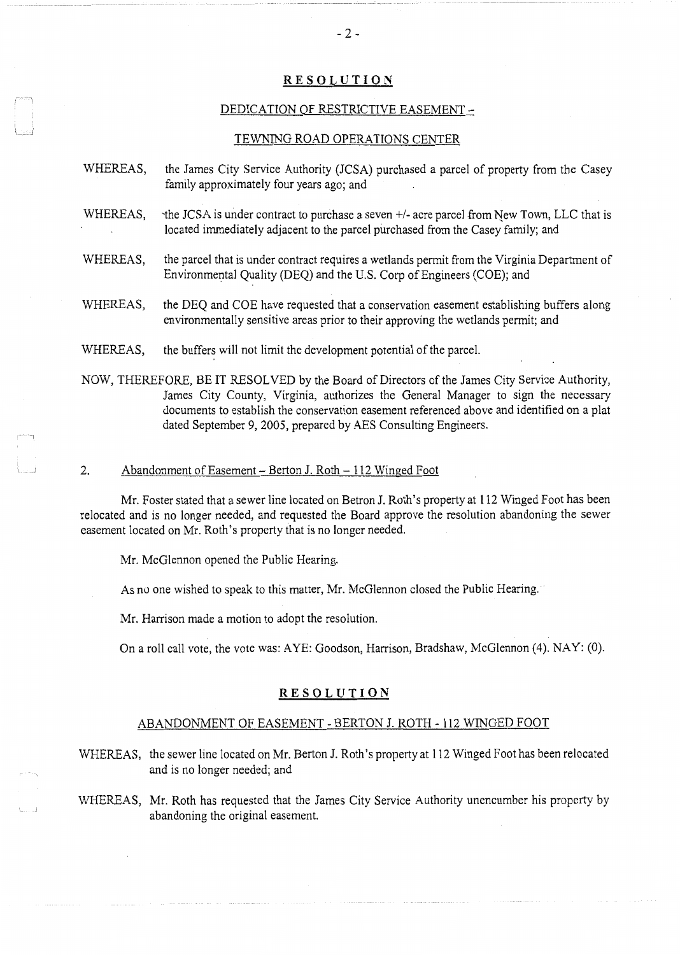## **RESOLUTION**

## DEDICATION OF RESTRICTIVE EASEMENT -

#### TEWNING ROAD OPERATIONS CENTER

- WHEREAS, the James City Service Authority (JCSA) purchased a parcel of property from the Casey family approximately four years ago; and
- WHEREAS, the JCSA is under contract to purchase a seven  $+/-$  acre parcel from New Town, LLC that is located immediately adjacent to the parcel purchased from the Casey family; and
- WHEREAS, the parcel that is under contract requires a wetlands permit from the Virginia Department of Environmental Quality (DEQ) and the U.S. Corp of Engineers (COE); and
- WHEREAS, the DEQ and COE have requested that a conservation easement establishing buffers along environmentally sensitive areas prior to their approving the wetlands permit; and
- WHEREAS, the buffers will not limit the development potential of the parcel.

NOW, THEREFORE, BE IT RESOLVED by the Board of Directors of the James City Service Authority, James City County, Virginia, authorizes the General Manager to sign the necessary documents to establish the conservation easement referenced above and identified on a plat dated September 9, 2005, prepared by AES Consulting Engineers.

#### 2. Abandonment of Easement - Berton J. Roth - 112 Winged Foot

Mr. Foster stated that a sewer line located on Betron J. Roth's property at 112 Winged Foot has been relocated and is no longer needed, and requested the Board approve the resolution abandoning the sewer easement located on Mr. Roth's property that is no longer needed.

Mr. McGlennon opened the Public Hearing.

. J

As no one wished to speak to this matter, Mr. McGlennon closed the Public Hearing.

Mr. Harrison made a motion to adopt the resolution.

On a roll call vote, the vote was: AYE: Goodson, Harrison, Bradshaw, McGlennon (4). NAY: (0).

#### **RESOLUTION**

#### ABANDONMENT OF EASEMENT - BERTON J. ROTH - 112 WINGED FOOT

WHEREAS, the sewer line located on Mr. Berton J. Roth's property at 112 Winged Foot has been relocated and is no longer needed; and

WHEREAS, Mr. Roth has requested that the James City Service Authority unencumber his property by abandoning the original easement.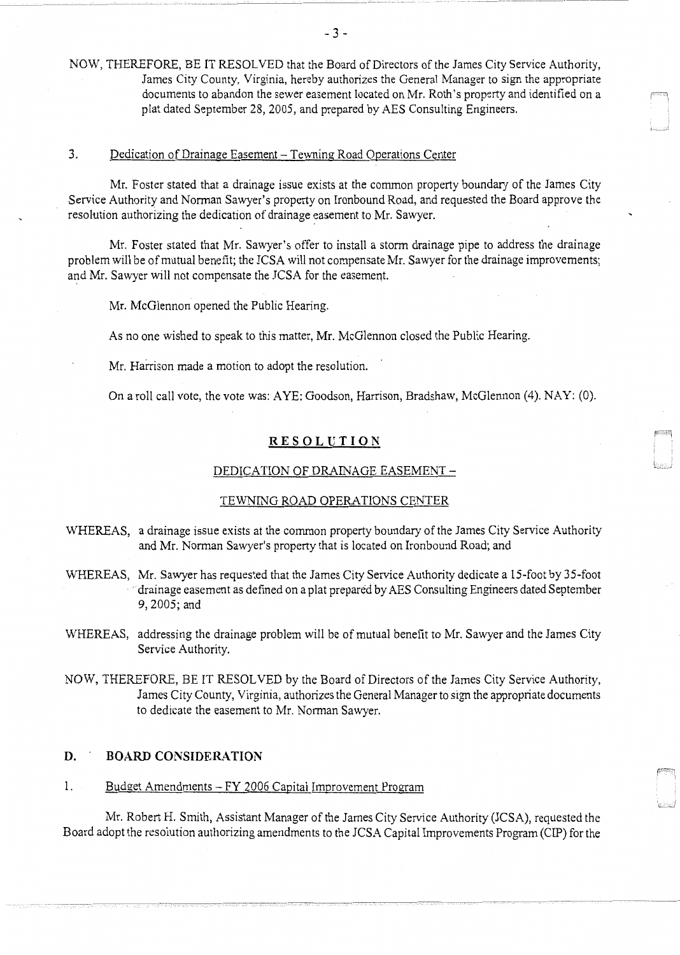NOW, THEREFORE, BE IT RESOLVED that the Board of Directors of the James City Service Authority, James City County, Virginia, hereby authorizes the General Manager to sign the appropriate documents to abandon the sewer easement located on Mr. Roth's property and identified on a plat dated September 28, 2005, and prepared by AES Consulting Engineers.

#### 3. Dedication of Drainage Easement - Tewning Road Operations Center

Mr. Foster stated that a drainage issue exists at the common property boundary of the James City Service Authority and Norman Sawyer's property on Ironbound Road, and requested the Board approve the resolution authorizing the dedication of drainage easement to Mr. Sawyer.

Mr. Foster stated that Mr. Sawyer's offer to install a storm drainage pipe to address the drainage problem will be of mutual benefit; the JCSA will not compensate Mr. Sawyer for the drainage improvements; and Mr. Sawyer will not compensate the JCSA for the easement.

Mr. McG!ennon opened the Public Hearing.

As no one wished to speak to this matter, Mr. McGlennon closed the Public Hearing.

Mr. Harrison made a motion to adopt the resolution.

On a roll call vote, the vote was: AYE: Goodson, Harrison, Bradshaw, McGlennon (4). NAY: (0).

### **RESOLUTION**

#### DEDICATION OF DRAINAGE EASEMENT -

#### TEWNING ROAD OPERATIONS CENTER

- WHEREAS, a drainage issue exists at the common property boundary of the James City Service Authority and Mr. Norman Sawyer's property that is located on Ironbound Road; and
- WHEREAS, Mr. Sawyer has requested that the James City Service Authority dedicate a 15-foot by 35-foot drainage easement as defined on a plat prepared by AES Consulting Engineers dated September 9,2005;and
- WHEREAS, addressing the drainage problem will be of mutual benefit to Mr. Sawyer and the James City Service Authority.
- NOW, THEREFORE, BE IT RESOLVED by the Board of Directors of the James City Service Authority, James City County, Virginia, authorizes the General Manager to sign the appropriate documents to dedicate the easement to Mr. Norman Sawyer.

# **D. BOARD CONSIDERATION**

-· ------ ---

# 1. Budget Amendments - FY 2006 Capital Improvement Program

Mr. Robert H. Smith, Assistant Manager of the James City Service Authority (JCSA), requested the Board adopt the resolution authorizing amendments to the JCSA Capital Improvements Program (CIP) for the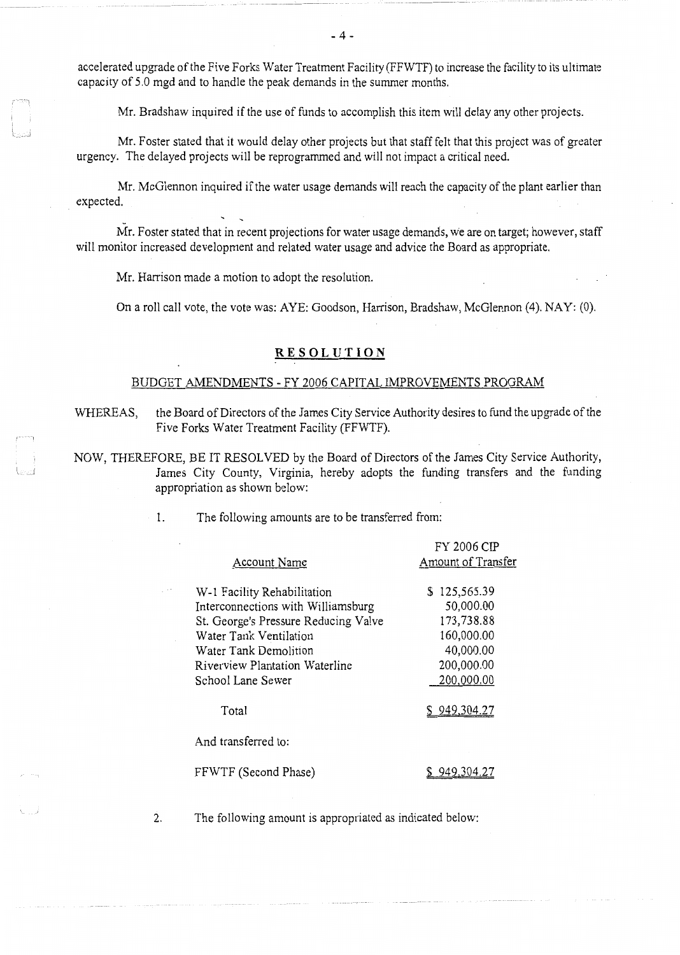accelerated upgrade of the Five Forks Water Treatment Facility (FFWTF) to increase the facility to its ultimate capacity of 5.0 mgd and to handle the peak demands in the summer months.

Mr. Bradshaw inquired if the use of funds to accomplish this item will delay any other projects.

Mr. Foster stated that it would delay other projects but that staff felt that this project was of greater urgency. The delayed projects will be reprogranuned and will not impact a critical need.

Mr. McGlennon inquired if the water usage demands will reach the capacity of the plant earlier than expected.

Mr. Foster stated that in recent projections for water usage demands, we are on target; however, staff will monitor increased development and related water usage and advice the Board as appropriate.

Mr. Harrison made a motion to adopt the resolution.

On a roll call vote, the vote was: AYE: Goodson, Harrison, Bradshaw, McGlennon (4). NAY: (0).

## **RESOLUTION**

#### BUDGET AMENDMENTS - FY 2006 CAPITAL IMPROVEMENTS PROGRAM

WHEREAS, the Board of Directors of the James City Service Authority desires to fund the upgrade of the Five Forks Water Treatment Facility (FFWTF).

NOW, THEREFORE, BE IT RESOLVED by the Board of Directors of the James City Service Authority, James City County, Virginia, hereby adopts the funding transfers and the funding appropriation as shown below:

|                                      | FY 2006 CIP        |
|--------------------------------------|--------------------|
| <b>Account Name</b>                  | Amount of Transfer |
|                                      |                    |
| W-1 Facility Rehabilitation          | \$125,565.39       |
| Interconnections with Williamsburg   | 50,000.00          |
| St. George's Pressure Reducing Valve | 173,738.88         |
| Water Tank Ventilation               | 160,000.00         |
| Water Tank Demolition                | 40,000.00          |
| Riverview Plantation Waterline       | 200,000.00         |
| School Lane Sewer                    | 200,000.00         |
| Total                                | \$949,304.27       |
| And transferred to:                  |                    |
| FFWTF (Second Phase)                 |                    |

1. The following amounts are to be transferred from:

2. The following amount is appropriated as indicated below:

 $-4-$